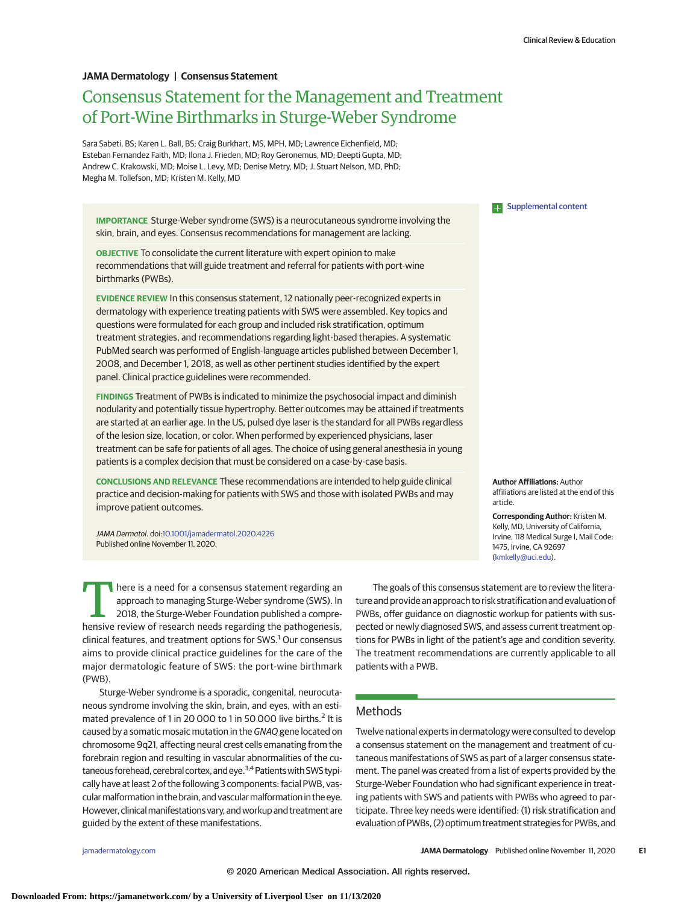# **JAMA Dermatology | Consensus Statement**

# Consensus Statement for the Management and Treatment of Port-Wine Birthmarks in Sturge-Weber Syndrome

Sara Sabeti, BS; Karen L. Ball, BS; Craig Burkhart, MS, MPH, MD; Lawrence Eichenfield, MD; Esteban Fernandez Faith, MD; Ilona J. Frieden, MD; Roy Geronemus, MD; Deepti Gupta, MD; Andrew C. Krakowski, MD; Moise L. Levy, MD; Denise Metry, MD; J. Stuart Nelson, MD, PhD; Megha M. Tollefson, MD; Kristen M. Kelly, MD

**IMPORTANCE** Sturge-Weber syndrome (SWS) is a neurocutaneous syndrome involving the skin, brain, and eyes. Consensus recommendations for management are lacking.

**OBJECTIVE** To consolidate the current literature with expert opinion to make recommendations that will guide treatment and referral for patients with port-wine birthmarks (PWBs).

**EVIDENCE REVIEW** In this consensus statement, 12 nationally peer-recognized experts in dermatology with experience treating patients with SWS were assembled. Key topics and questions were formulated for each group and included risk stratification, optimum treatment strategies, and recommendations regarding light-based therapies. A systematic PubMed search was performed of English-language articles published between December 1, 2008, and December 1, 2018, as well as other pertinent studies identified by the expert panel. Clinical practice guidelines were recommended.

**FINDINGS** Treatment of PWBs is indicated to minimize the psychosocial impact and diminish nodularity and potentially tissue hypertrophy. Better outcomes may be attained if treatments are started at an earlier age. In the US, pulsed dye laser is the standard for all PWBs regardless of the lesion size, location, or color. When performed by experienced physicians, laser treatment can be safe for patients of all ages. The choice of using general anesthesia in young patients is a complex decision that must be considered on a case-by-case basis.

**CONCLUSIONS AND RELEVANCE** These recommendations are intended to help guide clinical practice and decision-making for patients with SWS and those with isolated PWBs and may improve patient outcomes.

JAMA Dermatol. doi[:10.1001/jamadermatol.2020.4226](https://jamanetwork.com/journals/jama/fullarticle/10.1001/jamadermatol.2020.4226?utm_campaign=articlePDF%26utm_medium=articlePDFlink%26utm_source=articlePDF%26utm_content=jamadermatol.2020.4226) Published online November 11, 2020.

There is a need for a consensus statement regarding an approach to managing Sturge-Weber syndrome (SWS). In 2018, the Sturge-Weber Foundation published a compreapproach to managing Sturge-Weber syndrome (SWS). In hensive review of research needs regarding the pathogenesis, clinical features, and treatment options for SWS.<sup>1</sup> Our consensus aims to provide clinical practice guidelines for the care of the major dermatologic feature of SWS: the port-wine birthmark (PWB).

Sturge-Weber syndrome is a sporadic, congenital, neurocutaneous syndrome involving the skin, brain, and eyes, with an estimated prevalence of 1 in 20 000 to 1 in 50 000 live births.<sup>2</sup> It is caused by a somatic mosaic mutation in the GNAQgene located on chromosome 9q21, affecting neural crest cells emanating from the forebrain region and resulting in vascular abnormalities of the cutaneous forehead, cerebral cortex, and eye.<sup>3,4</sup> Patients with SWS typically have at least 2 of the following 3 components: facial PWB, vascular malformation in the brain, and vascular malformation in the eye. However, clinical manifestations vary, and workup and treatment are guided by the extent of these manifestations.

**Examplemental content** 

**Author Affiliations:** Author affiliations are listed at the end of this article.

**Corresponding Author:** Kristen M. Kelly, MD, University of California, Irvine, 118 Medical Surge I, Mail Code: 1475, Irvine, CA 92697 [\(kmkelly@uci.edu\)](mailto:kmkelly@uci.edu).

The goals of this consensus statement are to review the literature and provide an approach to risk stratification and evaluation of PWBs, offer guidance on diagnostic workup for patients with suspected or newly diagnosed SWS, and assess current treatment options for PWBs in light of the patient's age and condition severity. The treatment recommendations are currently applicable to all patients with a PWB.

# **Methods**

Twelve national experts in dermatology were consulted to develop a consensus statement on the management and treatment of cutaneous manifestations of SWS as part of a larger consensus statement. The panel was created from a list of experts provided by the Sturge-Weber Foundation who had significant experience in treating patients with SWS and patients with PWBs who agreed to participate. Three key needs were identified: (1) risk stratification and evaluation of PWBs, (2) optimum treatment strategies for PWBs, and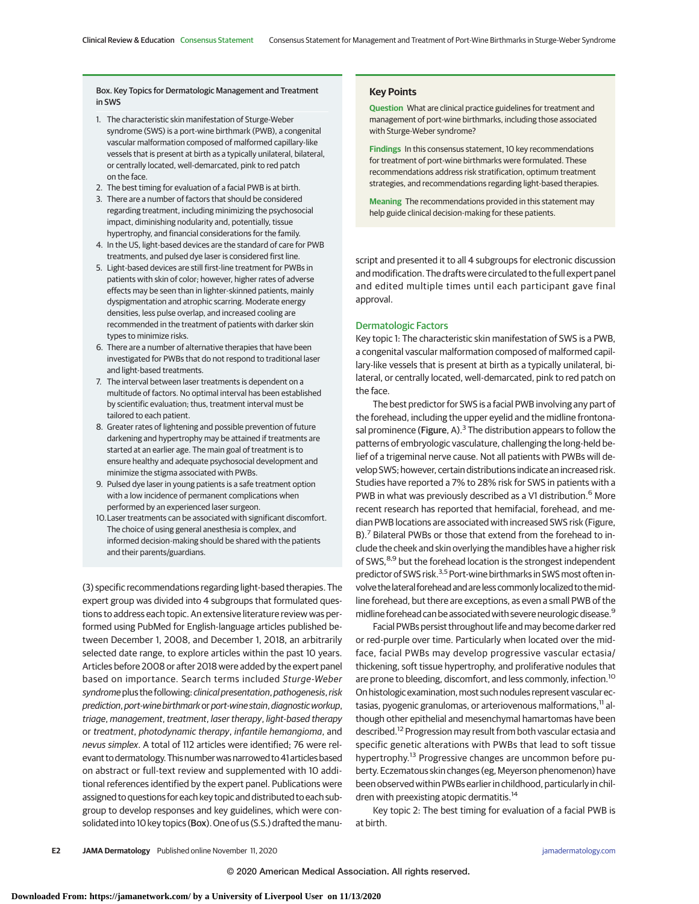## Box. Key Topics for Dermatologic Management and Treatment in SWS

- 1. The characteristic skin manifestation of Sturge-Weber syndrome (SWS) is a port-wine birthmark (PWB), a congenital vascular malformation composed of malformed capillary-like vessels that is present at birth as a typically unilateral, bilateral, or centrally located, well-demarcated, pink to red patch on the face.
- 2. The best timing for evaluation of a facial PWB is at birth.
- 3. There are a number of factors that should be considered regarding treatment, including minimizing the psychosocial impact, diminishing nodularity and, potentially, tissue hypertrophy, and financial considerations for the family.
- 4. In the US, light-based devices are the standard of care for PWB treatments, and pulsed dye laser is considered first line.
- 5. Light-based devices are still first-line treatment for PWBs in patients with skin of color; however, higher rates of adverse effects may be seen than in lighter-skinned patients, mainly dyspigmentation and atrophic scarring. Moderate energy densities, less pulse overlap, and increased cooling are recommended in the treatment of patients with darker skin types to minimize risks.
- 6. There are a number of alternative therapies that have been investigated for PWBs that do not respond to traditional laser and light-based treatments.
- 7. The interval between laser treatments is dependent on a multitude of factors. No optimal interval has been established by scientific evaluation; thus, treatment interval must be tailored to each patient.
- 8. Greater rates of lightening and possible prevention of future darkening and hypertrophy may be attained if treatments are started at an earlier age. The main goal of treatment is to ensure healthy and adequate psychosocial development and minimize the stigma associated with PWBs.
- 9. Pulsed dye laser in young patients is a safe treatment option with a low incidence of permanent complications when performed by an experienced laser surgeon.
- 10.Laser treatments can be associated with significant discomfort. The choice of using general anesthesia is complex, and informed decision-making should be shared with the patients and their parents/guardians.

(3) specific recommendations regarding light-based therapies. The expert group was divided into 4 subgroups that formulated questions to address each topic. An extensive literature review was performed using PubMed for English-language articles published between December 1, 2008, and December 1, 2018, an arbitrarily selected date range, to explore articles within the past 10 years. Articles before 2008 or after 2018 were added by the expert panel based on importance. Search terms included Sturge-Weber syndrome plus the following: clinical presentation, pathogenesis, risk prediction, port-wine birthmark or port-wine stain, diagnostic workup, triage, management, treatment, laser therapy, light-based therapy or treatment, photodynamic therapy, infantile hemangioma, and nevus simplex. A total of 112 articles were identified; 76 were relevant to dermatology. This number was narrowed to 41 articles based on abstract or full-text review and supplemented with 10 additional references identified by the expert panel. Publications were assigned to questions for each key topic and distributed to each subgroup to develop responses and key guidelines, which were consolidated into 10 key topics (Box). One of us (S.S.) drafted the manu-

## **Key Points**

**Question** What are clinical practice guidelines for treatment and management of port-wine birthmarks, including those associated with Sturge-Weber syndrome?

**Findings** In this consensus statement, 10 key recommendations for treatment of port-wine birthmarks were formulated. These recommendations address risk stratification, optimum treatment strategies, and recommendations regarding light-based therapies.

**Meaning** The recommendations provided in this statement may help guide clinical decision-making for these patients.

script and presented it to all 4 subgroups for electronic discussion and modification. The drafts were circulated to the full expert panel and edited multiple times until each participant gave final approval.

## Dermatologic Factors

Key topic 1: The characteristic skin manifestation of SWS is a PWB, a congenital vascular malformation composed of malformed capillary-like vessels that is present at birth as a typically unilateral, bilateral, or centrally located, well-demarcated, pink to red patch on the face.

The best predictor for SWS is a facial PWB involving any part of the forehead, including the upper eyelid and the midline frontonasal prominence (Figure, A).<sup>3</sup> The distribution appears to follow the patterns of embryologic vasculature, challenging the long-held belief of a trigeminal nerve cause. Not all patients with PWBs will develop SWS; however, certain distributions indicate an increased risk. Studies have reported a 7% to 28% risk for SWS in patients with a PWB in what was previously described as a V1 distribution.<sup>6</sup> More recent research has reported that hemifacial, forehead, and median PWB locations are associated with increased SWS risk (Figure, B).<sup>7</sup> Bilateral PWBs or those that extend from the forehead to include the cheek and skin overlying the mandibles have a higher risk of SWS,<sup>8,9</sup> but the forehead location is the strongest independent predictor of SWS risk.<sup>3,5</sup> Port-wine birthmarks in SWS most often involve the lateral forehead and are less commonly localized to the midline forehead, but there are exceptions, as even a small PWB of the midline forehead can be associated with severe neurologic disease.<sup>9</sup>

Facial PWBs persist throughout life and may become darker red or red-purple over time. Particularly when located over the midface, facial PWBs may develop progressive vascular ectasia/ thickening, soft tissue hypertrophy, and proliferative nodules that are prone to bleeding, discomfort, and less commonly, infection.<sup>10</sup> On histologic examination, most such nodules represent vascular ectasias, pyogenic granulomas, or arteriovenous malformations,<sup>11</sup> although other epithelial and mesenchymal hamartomas have been described.<sup>12</sup> Progression may result from both vascular ectasia and specific genetic alterations with PWBs that lead to soft tissue hypertrophy.<sup>13</sup> Progressive changes are uncommon before puberty. Eczematous skin changes (eg, Meyerson phenomenon) have been observed within PWBs earlier in childhood, particularly in children with preexisting atopic dermatitis.<sup>14</sup>

Key topic 2: The best timing for evaluation of a facial PWB is at birth.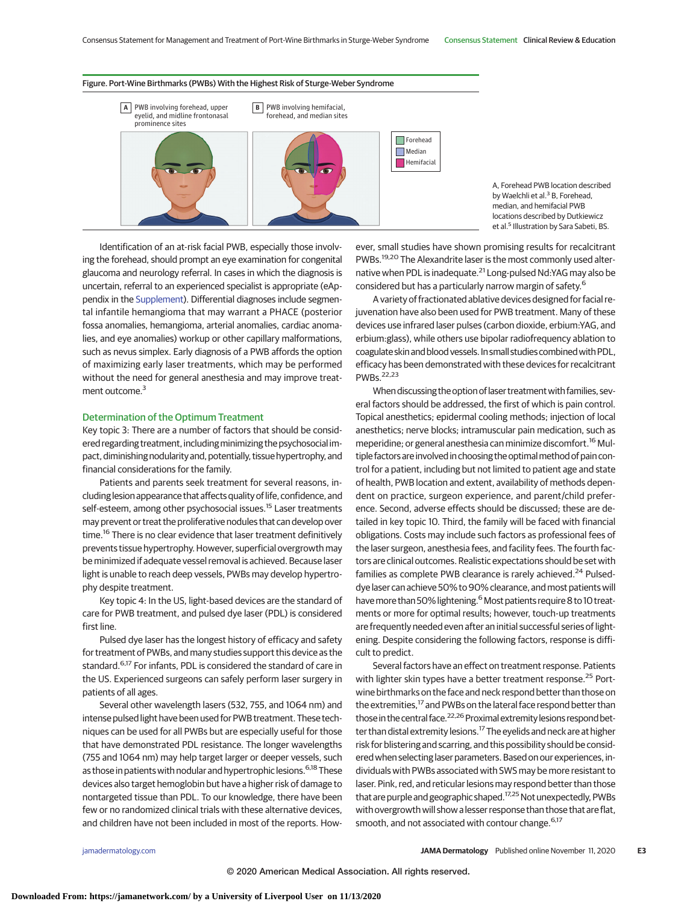### Figure. Port-Wine Birthmarks (PWBs) With the Highest Risk of Sturge-Weber Syndrome



A, Forehead PWB location described by Waelchli et al.<sup>3</sup> B, Forehead, median, and hemifacial PWB locations described by Dutkiewicz et al.<sup>5</sup> Illustration by Sara Sabeti, BS.

Identification of an at-risk facial PWB, especially those involving the forehead, should prompt an eye examination for congenital glaucoma and neurology referral. In cases in which the diagnosis is uncertain, referral to an experienced specialist is appropriate (eAppendix in the [Supplement\)](https://jamanetwork.com/journals/jama/fullarticle/10.1001/jamadermatol.2020.4226?utm_campaign=articlePDF%26utm_medium=articlePDFlink%26utm_source=articlePDF%26utm_content=jamadermatol.2020.4226). Differential diagnoses include segmental infantile hemangioma that may warrant a PHACE (posterior fossa anomalies, hemangioma, arterial anomalies, cardiac anomalies, and eye anomalies) workup or other capillary malformations, such as nevus simplex. Early diagnosis of a PWB affords the option of maximizing early laser treatments, which may be performed without the need for general anesthesia and may improve treatment outcome.<sup>3</sup>

#### Determination of the Optimum Treatment

Key topic 3: There are a number of factors that should be considered regarding treatment, including minimizing the psychosocial impact, diminishing nodularity and, potentially, tissue hypertrophy, and financial considerations for the family.

Patients and parents seek treatment for several reasons, including lesion appearance that affects quality of life, confidence, and self-esteem, among other psychosocial issues.<sup>15</sup> Laser treatments may prevent or treat the proliferative nodules that can develop over time.<sup>16</sup> There is no clear evidence that laser treatment definitively prevents tissue hypertrophy. However, superficial overgrowth may be minimized if adequate vessel removal is achieved. Because laser light is unable to reach deep vessels, PWBs may develop hypertrophy despite treatment.

Key topic 4: In the US, light-based devices are the standard of care for PWB treatment, and pulsed dye laser (PDL) is considered first line.

Pulsed dye laser has the longest history of efficacy and safety for treatment of PWBs, and many studies support this device as the standard.<sup>6,17</sup> For infants, PDL is considered the standard of care in the US. Experienced surgeons can safely perform laser surgery in patients of all ages.

Several other wavelength lasers (532, 755, and 1064 nm) and intense pulsed light have been used for PWB treatment. These techniques can be used for all PWBs but are especially useful for those that have demonstrated PDL resistance. The longer wavelengths (755 and 1064 nm) may help target larger or deeper vessels, such as those in patients with nodular and hypertrophic lesions.<sup>6,18</sup> These devices also target hemoglobin but have a higher risk of damage to nontargeted tissue than PDL. To our knowledge, there have been few or no randomized clinical trials with these alternative devices, and children have not been included in most of the reports. How-

ever, small studies have shown promising results for recalcitrant PWBs.<sup>19,20</sup> The Alexandrite laser is the most commonly used alternative when PDL is inadequate.<sup>21</sup> Long-pulsed Nd:YAG may also be considered but has a particularly narrow margin of safety.<sup>6</sup>

A variety of fractionated ablative devices designed for facial rejuvenation have also been used for PWB treatment. Many of these devices use infrared laser pulses (carbon dioxide, erbium:YAG, and erbium:glass), while others use bipolar radiofrequency ablation to coagulate skin and blood vessels. In small studies combined with PDL, efficacy has been demonstrated with these devices for recalcitrant PWBs.22,23

When discussing the option of laser treatment with families, several factors should be addressed, the first of which is pain control. Topical anesthetics; epidermal cooling methods; injection of local anesthetics; nerve blocks; intramuscular pain medication, such as meperidine; or general anesthesia can minimize discomfort.<sup>16</sup> Multiple factors are involved in choosing the optimal method of pain control for a patient, including but not limited to patient age and state of health, PWB location and extent, availability of methods dependent on practice, surgeon experience, and parent/child preference. Second, adverse effects should be discussed; these are detailed in key topic 10. Third, the family will be faced with financial obligations. Costs may include such factors as professional fees of the laser surgeon, anesthesia fees, and facility fees. The fourth factors are clinical outcomes. Realistic expectations should be set with families as complete PWB clearance is rarely achieved.<sup>24</sup> Pulseddye laser can achieve 50% to 90% clearance, and most patients will have more than 50% lightening.<sup>6</sup> Most patients require 8 to 10 treatments or more for optimal results; however, touch-up treatments are frequently needed even after an initial successful series of lightening. Despite considering the following factors, response is difficult to predict.

Several factors have an effect on treatment response. Patients with lighter skin types have a better treatment response.<sup>25</sup> Portwine birthmarks on the face and neck respond better than those on the extremities,<sup>17</sup> and PWBs on the lateral face respond better than those in the central face.<sup>22,26</sup> Proximal extremity lesions respond better than distal extremity lesions.<sup>17</sup> The eyelids and neck are at higher risk for blistering and scarring, and this possibility should be considered when selecting laser parameters. Based on our experiences, individuals with PWBs associated with SWS may be more resistant to laser. Pink, red, and reticular lesions may respond better than those that are purple and geographic shaped.<sup>17,25</sup> Not unexpectedly, PWBs with overgrowth will show a lesser response than those that are flat, smooth, and not associated with contour change.<sup>6,17</sup>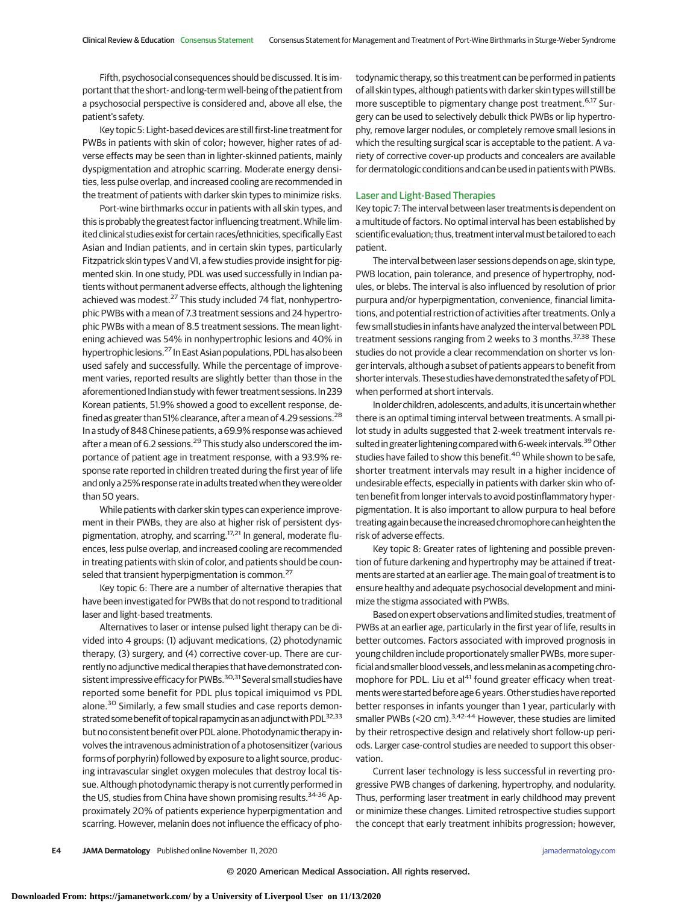Fifth, psychosocial consequences should be discussed. It is important that the short- and long-term well-being of the patient from a psychosocial perspective is considered and, above all else, the patient's safety.

Key topic 5: Light-based devices are still first-line treatment for PWBs in patients with skin of color; however, higher rates of adverse effects may be seen than in lighter-skinned patients, mainly dyspigmentation and atrophic scarring. Moderate energy densities, less pulse overlap, and increased cooling are recommended in the treatment of patients with darker skin types to minimize risks.

Port-wine birthmarks occur in patients with all skin types, and this is probably the greatest factor influencing treatment.While limited clinical studies exist for certain races/ethnicities, specifically East Asian and Indian patients, and in certain skin types, particularly Fitzpatrick skin types V and VI, a few studies provide insight for pigmented skin. In one study, PDL was used successfully in Indian patients without permanent adverse effects, although the lightening achieved was modest.<sup>27</sup> This study included 74 flat, nonhypertrophic PWBs with a mean of 7.3 treatment sessions and 24 hypertrophic PWBs with a mean of 8.5 treatment sessions. The mean lightening achieved was 54% in nonhypertrophic lesions and 40% in hypertrophic lesions.27 In East Asian populations, PDL has also been used safely and successfully. While the percentage of improvement varies, reported results are slightly better than those in the aforementioned Indian study with fewer treatment sessions. In 239 Korean patients, 51.9% showed a good to excellent response, defined as greater than 51% clearance, after a mean of 4.29 sessions.<sup>28</sup> In a study of 848 Chinese patients, a 69.9% response was achieved after a mean of 6.2 sessions.<sup>29</sup> This study also underscored the importance of patient age in treatment response, with a 93.9% response rate reported in children treated during the first year of life and only a 25% response rate in adults treated when they were older than 50 years.

While patients with darker skin types can experience improvement in their PWBs, they are also at higher risk of persistent dyspigmentation, atrophy, and scarring.<sup>17,21</sup> In general, moderate fluences, less pulse overlap, and increased cooling are recommended in treating patients with skin of color, and patients should be counseled that transient hyperpigmentation is common.<sup>27</sup>

Key topic 6: There are a number of alternative therapies that have been investigated for PWBs that do not respond to traditional laser and light-based treatments.

Alternatives to laser or intense pulsed light therapy can be divided into 4 groups: (1) adjuvant medications, (2) photodynamic therapy, (3) surgery, and (4) corrective cover-up. There are currently no adjunctive medical therapies that have demonstrated consistent impressive efficacy for PWBs.<sup>30,31</sup> Several small studies have reported some benefit for PDL plus topical imiquimod vs PDL alone.<sup>30</sup> Similarly, a few small studies and case reports demonstrated some benefit of topical rapamycin as an adjunct with PDL<sup>32,33</sup> but no consistent benefit over PDL alone. Photodynamic therapy involves the intravenous administration of a photosensitizer (various forms of porphyrin) followed by exposure to a light source, producing intravascular singlet oxygen molecules that destroy local tissue. Although photodynamic therapy is not currently performed in the US, studies from China have shown promising results.<sup>34-36</sup> Approximately 20% of patients experience hyperpigmentation and scarring. However, melanin does not influence the efficacy of photodynamic therapy, so this treatment can be performed in patients of all skin types, although patients with darker skin types will still be more susceptible to pigmentary change post treatment.<sup>6,17</sup> Surgery can be used to selectively debulk thick PWBs or lip hypertrophy, remove larger nodules, or completely remove small lesions in which the resulting surgical scar is acceptable to the patient. A variety of corrective cover-up products and concealers are available for dermatologic conditions and can be used in patients with PWBs.

## Laser and Light-Based Therapies

Key topic 7: The interval between laser treatments is dependent on a multitude of factors. No optimal interval has been established by scientific evaluation; thus, treatment interval must be tailored to each patient.

The interval between laser sessions depends on age, skin type, PWB location, pain tolerance, and presence of hypertrophy, nodules, or blebs. The interval is also influenced by resolution of prior purpura and/or hyperpigmentation, convenience, financial limitations, and potential restriction of activities after treatments. Only a few small studies in infants have analyzed the interval between PDL treatment sessions ranging from 2 weeks to 3 months.<sup>37,38</sup> These studies do not provide a clear recommendation on shorter vs longer intervals, although a subset of patients appears to benefit from shorter intervals. These studies have demonstrated the safety of PDL when performed at short intervals.

In older children, adolescents, and adults, it is uncertainwhether there is an optimal timing interval between treatments. A small pilot study in adults suggested that 2-week treatment intervals resulted in greater lightening compared with 6-week intervals.<sup>39</sup> Other studies have failed to show this benefit.<sup>40</sup> While shown to be safe, shorter treatment intervals may result in a higher incidence of undesirable effects, especially in patients with darker skin who often benefit from longer intervals to avoid postinflammatory hyperpigmentation. It is also important to allow purpura to heal before treating again because the increased chromophore can heighten the risk of adverse effects.

Key topic 8: Greater rates of lightening and possible prevention of future darkening and hypertrophy may be attained if treatments are started at an earlier age. The main goal of treatment is to ensure healthy and adequate psychosocial development and minimize the stigma associated with PWBs.

Based on expert observations and limited studies, treatment of PWBs at an earlier age, particularly in the first year of life, results in better outcomes. Factors associated with improved prognosis in young children include proportionately smaller PWBs, more superficial and smaller blood vessels, and less melanin as a competing chromophore for PDL. Liu et al<sup>41</sup> found greater efficacy when treatments were started before age 6 years.Other studies have reported better responses in infants younger than 1 year, particularly with smaller PWBs (<20 cm). $3,42-44$  However, these studies are limited by their retrospective design and relatively short follow-up periods. Larger case-control studies are needed to support this observation.

Current laser technology is less successful in reverting progressive PWB changes of darkening, hypertrophy, and nodularity. Thus, performing laser treatment in early childhood may prevent or minimize these changes. Limited retrospective studies support the concept that early treatment inhibits progression; however,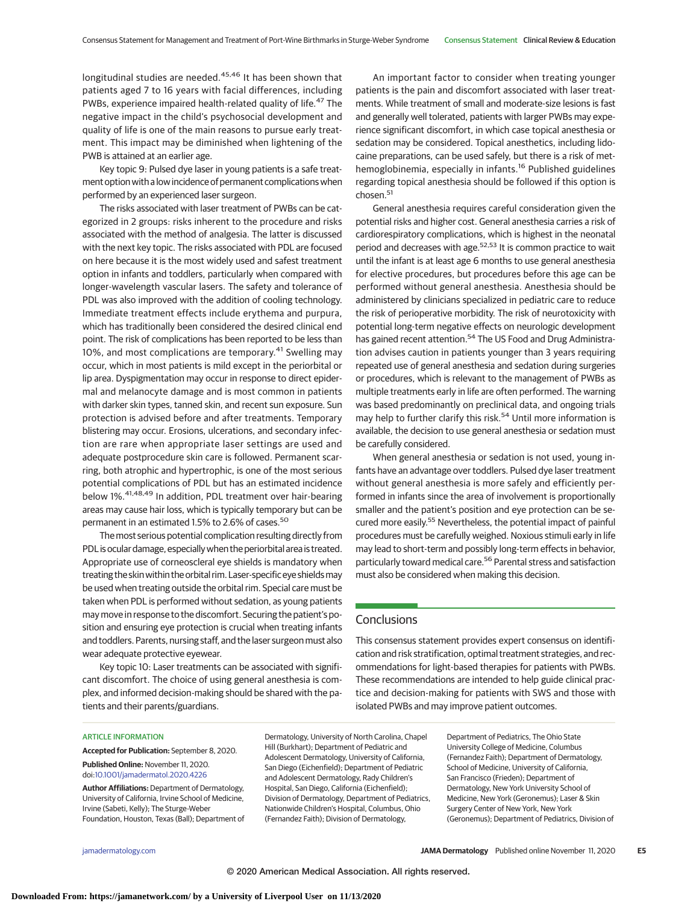longitudinal studies are needed.<sup>45,46</sup> It has been shown that patients aged 7 to 16 years with facial differences, including PWBs, experience impaired health-related quality of life.<sup>47</sup> The negative impact in the child's psychosocial development and quality of life is one of the main reasons to pursue early treatment. This impact may be diminished when lightening of the PWB is attained at an earlier age.

Key topic 9: Pulsed dye laser in young patients is a safe treatment option with a low incidence of permanent complications when performed by an experienced laser surgeon.

The risks associated with laser treatment of PWBs can be categorized in 2 groups: risks inherent to the procedure and risks associated with the method of analgesia. The latter is discussed with the next key topic. The risks associated with PDL are focused on here because it is the most widely used and safest treatment option in infants and toddlers, particularly when compared with longer-wavelength vascular lasers. The safety and tolerance of PDL was also improved with the addition of cooling technology. Immediate treatment effects include erythema and purpura, which has traditionally been considered the desired clinical end point. The risk of complications has been reported to be less than 10%, and most complications are temporary.<sup>41</sup> Swelling may occur, which in most patients is mild except in the periorbital or lip area. Dyspigmentation may occur in response to direct epidermal and melanocyte damage and is most common in patients with darker skin types, tanned skin, and recent sun exposure. Sun protection is advised before and after treatments. Temporary blistering may occur. Erosions, ulcerations, and secondary infection are rare when appropriate laser settings are used and adequate postprocedure skin care is followed. Permanent scarring, both atrophic and hypertrophic, is one of the most serious potential complications of PDL but has an estimated incidence below 1%.41,48,49 In addition, PDL treatment over hair-bearing areas may cause hair loss, which is typically temporary but can be permanent in an estimated 1.5% to 2.6% of cases.<sup>50</sup>

The most serious potential complication resulting directly from PDL is ocular damage, especially when the periorbital area is treated. Appropriate use of corneoscleral eye shields is mandatory when treating the skin within the orbital rim.Laser-specificeye shieldsmay be used when treating outside the orbital rim. Special care must be taken when PDL is performed without sedation, as young patients may move in response to the discomfort. Securing the patient's position and ensuring eye protection is crucial when treating infants and toddlers. Parents, nursing staff, and the laser surgeon must also wear adequate protective eyewear.

Key topic 10: Laser treatments can be associated with significant discomfort. The choice of using general anesthesia is complex, and informed decision-making should be shared with the patients and their parents/guardians.

An important factor to consider when treating younger patients is the pain and discomfort associated with laser treatments. While treatment of small and moderate-size lesions is fast and generally well tolerated, patients with larger PWBs may experience significant discomfort, in which case topical anesthesia or sedation may be considered. Topical anesthetics, including lidocaine preparations, can be used safely, but there is a risk of methemoglobinemia, especially in infants.<sup>16</sup> Published guidelines regarding topical anesthesia should be followed if this option is chosen.<sup>51</sup>

General anesthesia requires careful consideration given the potential risks and higher cost. General anesthesia carries a risk of cardiorespiratory complications, which is highest in the neonatal period and decreases with age.<sup>52,53</sup> It is common practice to wait until the infant is at least age 6 months to use general anesthesia for elective procedures, but procedures before this age can be performed without general anesthesia. Anesthesia should be administered by clinicians specialized in pediatric care to reduce the risk of perioperative morbidity. The risk of neurotoxicity with potential long-term negative effects on neurologic development has gained recent attention.<sup>54</sup> The US Food and Drug Administration advises caution in patients younger than 3 years requiring repeated use of general anesthesia and sedation during surgeries or procedures, which is relevant to the management of PWBs as multiple treatments early in life are often performed. The warning was based predominantly on preclinical data, and ongoing trials may help to further clarify this risk.<sup>54</sup> Until more information is available, the decision to use general anesthesia or sedation must be carefully considered.

When general anesthesia or sedation is not used, young infants have an advantage over toddlers. Pulsed dye laser treatment without general anesthesia is more safely and efficiently performed in infants since the area of involvement is proportionally smaller and the patient's position and eye protection can be secured more easily.<sup>55</sup> Nevertheless, the potential impact of painful procedures must be carefully weighed. Noxious stimuli early in life may lead to short-term and possibly long-term effects in behavior, particularly toward medical care.<sup>56</sup> Parental stress and satisfaction must also be considered when making this decision.

# **Conclusions**

This consensus statement provides expert consensus on identification and risk stratification, optimal treatment strategies, and recommendations for light-based therapies for patients with PWBs. These recommendations are intended to help guide clinical practice and decision-making for patients with SWS and those with isolated PWBs and may improve patient outcomes.

#### ARTICLE INFORMATION

**Accepted for Publication:** September 8, 2020. **Published Online:** November 11, 2020. doi[:10.1001/jamadermatol.2020.4226](https://jamanetwork.com/journals/jama/fullarticle/10.1001/jamadermatol.2020.4226?utm_campaign=articlePDF%26utm_medium=articlePDFlink%26utm_source=articlePDF%26utm_content=jamadermatol.2020.4226)

**Author Affiliations:** Department of Dermatology, University of California, Irvine School of Medicine, Irvine (Sabeti, Kelly); The Sturge-Weber Foundation, Houston, Texas (Ball); Department of Dermatology, University of North Carolina, Chapel Hill (Burkhart); Department of Pediatric and Adolescent Dermatology, University of California, San Diego (Eichenfield); Department of Pediatric and Adolescent Dermatology, Rady Children's Hospital, San Diego, California (Eichenfield); Division of Dermatology, Department of Pediatrics, Nationwide Children's Hospital, Columbus, Ohio (Fernandez Faith); Division of Dermatology,

Department of Pediatrics, The Ohio State University College of Medicine, Columbus (Fernandez Faith); Department of Dermatology, School of Medicine, University of California, San Francisco (Frieden); Department of Dermatology, New York University School of Medicine, New York (Geronemus); Laser & Skin Surgery Center of New York, New York (Geronemus); Department of Pediatrics, Division of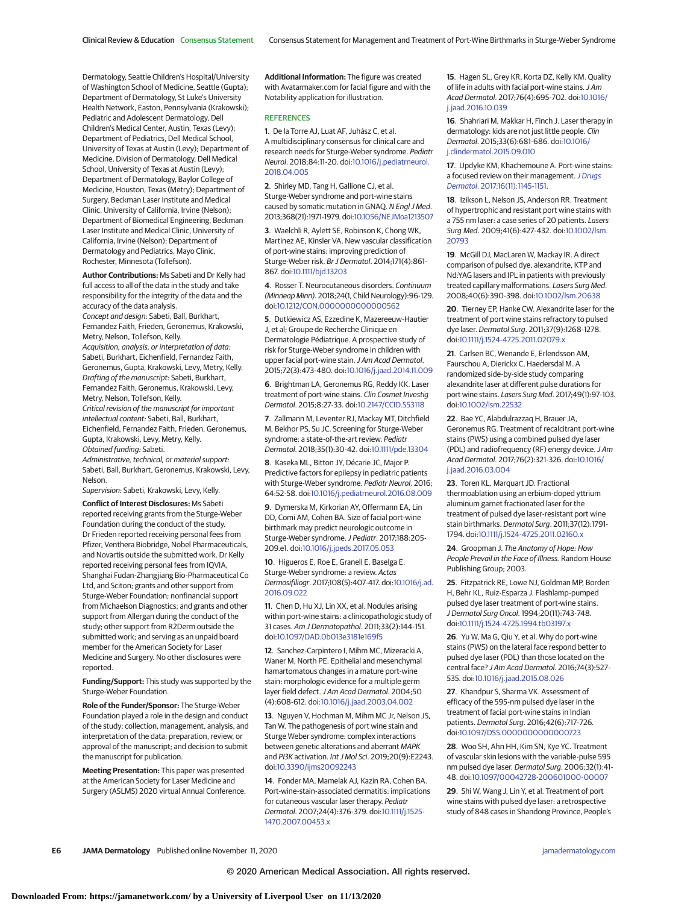Dermatology, Seattle Children's Hospital/University of Washington School of Medicine, Seattle (Gupta); Department of Dermatology, St Luke's University Health Network, Easton, Pennsylvania (Krakowski); Pediatric and Adolescent Dermatology, Dell Children's Medical Center, Austin, Texas (Levy); Department of Pediatrics, Dell Medical School, University of Texas at Austin (Levy); Department of Medicine, Division of Dermatology, Dell Medical School, University of Texas at Austin (Levy); Department of Dermatology, Baylor College of Medicine, Houston, Texas (Metry); Department of Surgery, Beckman Laser Institute and Medical Clinic, University of California, Irvine (Nelson); Department of Biomedical Engineering, Beckman Laser Institute and Medical Clinic, University of California, Irvine (Nelson); Department of Dermatology and Pediatrics, Mayo Clinic, Rochester, Minnesota (Tollefson).

**Author Contributions:** Ms Sabeti and Dr Kelly had full access to all of the data in the study and take responsibility for the integrity of the data and the accuracy of the data analysis.

Concept and design: Sabeti, Ball, Burkhart, Fernandez Faith, Frieden, Geronemus, Krakowski, Metry, Nelson, Tollefson, Kelly. Acquisition, analysis, or interpretation of data:

Sabeti, Burkhart, Eichenfield, Fernandez Faith, Geronemus, Gupta, Krakowski, Levy, Metry, Kelly. Drafting of the manuscript: Sabeti, Burkhart, Fernandez Faith, Geronemus, Krakowski, Levy, Metry, Nelson, Tollefson, Kelly.

Critical revision of the manuscript for important intellectual content: Sabeti, Ball, Burkhart, Eichenfield, Fernandez Faith, Frieden, Geronemus, Gupta, Krakowski, Levy, Metry, Kelly. Obtained funding: Sabeti.

Administrative, technical, or material support: Sabeti, Ball, Burkhart, Geronemus, Krakowski, Levy, Nelson.

Supervision: Sabeti, Krakowski, Levy, Kelly.

**Conflict of Interest Disclosures:** Ms Sabeti reported receiving grants from the Sturge-Weber Foundation during the conduct of the study. Dr Frieden reported receiving personal fees from Pfizer, Venthera Biobridge, Nobel Pharmaceuticals, and Novartis outside the submitted work. Dr Kelly reported receiving personal fees from IQVIA, Shanghai Fudan-Zhangjiang Bio-Pharmaceutical Co Ltd, and Sciton; grants and other support from Sturge-Weber Foundation; nonfinancial support from Michaelson Diagnostics; and grants and other support from Allergan during the conduct of the study; other support from R2Derm outside the submitted work; and serving as an unpaid board member for the American Society for Laser Medicine and Surgery. No other disclosures were reported.

**Funding/Support:** This study was supported by the Sturge-Weber Foundation.

**Role of the Funder/Sponsor:** The Sturge-Weber Foundation played a role in the design and conduct of the study; collection, management, analysis, and interpretation of the data; preparation, review, or approval of the manuscript; and decision to submit the manuscript for publication.

**Meeting Presentation:** This paper was presented at the American Society for Laser Medicine and Surgery (ASLMS) 2020 virtual Annual Conference. **Additional Information:** The figure was created with Avatarmaker.com for facial figure and with the Notability application for illustration.

## **REFERENCES**

**1**. De la Torre AJ, Luat AF, Juhász C, et al. A multidisciplinary consensus for clinical care and research needs for Sturge-Weber syndrome. Pediatr Neurol. 2018;84:11-20. doi[:10.1016/j.pediatrneurol.](https://dx.doi.org/10.1016/j.pediatrneurol.2018.04.005) [2018.04.005](https://dx.doi.org/10.1016/j.pediatrneurol.2018.04.005)

**2**. Shirley MD, Tang H, Gallione CJ, et al. Sturge-Weber syndrome and port-wine stains caused by somatic mutation in GNAQ. N Engl J Med. 2013;368(21):1971-1979. doi[:10.1056/NEJMoa1213507](https://dx.doi.org/10.1056/NEJMoa1213507)

**3**. Waelchli R, Aylett SE, Robinson K, Chong WK, Martinez AE, Kinsler VA. New vascular classification of port-wine stains: improving prediction of Sturge-Weber risk. Br J Dermatol. 2014;171(4):861- 867. doi[:10.1111/bjd.13203](https://dx.doi.org/10.1111/bjd.13203)

**4**. Rosser T. Neurocutaneous disorders. Continuum (Minneap Minn). 2018;24(1, Child Neurology):96-129. doi[:10.1212/CON.0000000000000562](https://dx.doi.org/10.1212/CON.0000000000000562)

**5**. Dutkiewicz AS, Ezzedine K, Mazereeuw-Hautier J, et al; Groupe de Recherche Clinique en Dermatologie Pédiatrique. A prospective study of risk for Sturge-Weber syndrome in children with upper facial port-wine stain. J Am Acad Dermatol. 2015;72(3):473-480. doi[:10.1016/j.jaad.2014.11.009](https://dx.doi.org/10.1016/j.jaad.2014.11.009)

**6**. Brightman LA, Geronemus RG, Reddy KK. Laser treatment of port-wine stains. Clin Cosmet Investig Dermatol. 2015;8:27-33. doi[:10.2147/CCID.S53118](https://dx.doi.org/10.2147/CCID.S53118)

**7**. Zallmann M, Leventer RJ, Mackay MT, Ditchfield M, Bekhor PS, Su JC. Screening for Sturge-Weber syndrome: a state-of-the-art review. Pediatr Dermatol. 2018;35(1):30-42. doi[:10.1111/pde.13304](https://dx.doi.org/10.1111/pde.13304)

**8**. Kaseka ML, Bitton JY, Décarie JC, Major P. Predictive factors for epilepsy in pediatric patients with Sturge-Weber syndrome. Pediatr Neurol. 2016; 64:52-58. doi[:10.1016/j.pediatrneurol.2016.08.009](https://dx.doi.org/10.1016/j.pediatrneurol.2016.08.009)

**9**. Dymerska M, Kirkorian AY, Offermann EA, Lin DD, Comi AM, Cohen BA. Size of facial port-wine birthmark may predict neurologic outcome in Sturge-Weber syndrome.J Pediatr. 2017;188:205- 209.e1. doi[:10.1016/j.jpeds.2017.05.053](https://dx.doi.org/10.1016/j.jpeds.2017.05.053)

**10**. Higueros E, Roe E, Granell E, Baselga E. Sturge-Weber syndrome: a review. Actas Dermosifiliogr. 2017;108(5):407-417. doi[:10.1016/j.ad.](https://dx.doi.org/10.1016/j.ad.2016.09.022) [2016.09.022](https://dx.doi.org/10.1016/j.ad.2016.09.022)

**11**. Chen D, Hu XJ, Lin XX, et al. Nodules arising within port-wine stains: a clinicopathologic study of 31 cases. Am J Dermatopathol. 2011;33(2):144-151. doi[:10.1097/DAD.0b013e3181e169f5](https://dx.doi.org/10.1097/DAD.0b013e3181e169f5)

**12**. Sanchez-Carpintero I, Mihm MC, Mizeracki A, Waner M, North PE. Epithelial and mesenchymal hamartomatous changes in a mature port-wine stain: morphologic evidence for a multiple germ layer field defect. J Am Acad Dermatol. 2004;50 (4):608-612. doi[:10.1016/j.jaad.2003.04.002](https://dx.doi.org/10.1016/j.jaad.2003.04.002)

**13**. Nguyen V, Hochman M, Mihm MC Jr, Nelson JS, Tan W. The pathogenesis of port wine stain and Sturge Weber syndrome: complex interactions between genetic alterations and aberrant MAPK and PI3K activation. Int J Mol Sci. 2019;20(9):E2243. doi[:10.3390/ijms20092243](https://dx.doi.org/10.3390/ijms20092243)

**14**. Fonder MA, Mamelak AJ, Kazin RA, Cohen BA. Port-wine-stain-associated dermatitis: implications for cutaneous vascular laser therapy. Pediatr Dermatol. 2007;24(4):376-379. doi[:10.1111/j.1525-](https://dx.doi.org/10.1111/j.1525-1470.2007.00453.x) [1470.2007.00453.x](https://dx.doi.org/10.1111/j.1525-1470.2007.00453.x)

**15**. Hagen SL, Grey KR, Korta DZ, Kelly KM. Quality of life in adults with facial port-wine stains. J Am Acad Dermatol. 2017;76(4):695-702. doi[:10.1016/](https://dx.doi.org/10.1016/j.jaad.2016.10.039) [j.jaad.2016.10.039](https://dx.doi.org/10.1016/j.jaad.2016.10.039)

**16**. Shahriari M, Makkar H, Finch J. Laser therapy in dermatology: kids are not just little people. Clin Dermatol. 2015;33(6):681-686. doi[:10.1016/](https://dx.doi.org/10.1016/j.clindermatol.2015.09.010) [j.clindermatol.2015.09.010](https://dx.doi.org/10.1016/j.clindermatol.2015.09.010)

**17**. Updyke KM, Khachemoune A. Port-wine stains: a focused review on their management. [J Drugs](https://www.ncbi.nlm.nih.gov/pubmed/29141064) Dermatol[. 2017;16\(11\):1145-1151.](https://www.ncbi.nlm.nih.gov/pubmed/29141064)

**18**. Izikson L, Nelson JS, Anderson RR. Treatment of hypertrophic and resistant port wine stains with a 755 nm laser: a case series of 20 patients. Lasers Surg Med. 2009;41(6):427-432. doi[:10.1002/lsm.](https://dx.doi.org/10.1002/lsm.20793) [20793](https://dx.doi.org/10.1002/lsm.20793)

**19**. McGill DJ, MacLaren W, Mackay IR. A direct comparison of pulsed dye, alexandrite, KTP and Nd:YAG lasers and IPL in patients with previously treated capillary malformations. Lasers Surg Med. 2008;40(6):390-398. doi[:10.1002/lsm.20638](https://dx.doi.org/10.1002/lsm.20638)

**20**. Tierney EP, Hanke CW. Alexandrite laser for the treatment of port wine stains refractory to pulsed dye laser. Dermatol Surg. 2011;37(9):1268-1278. doi[:10.1111/j.1524-4725.2011.02079.x](https://dx.doi.org/10.1111/j.1524-4725.2011.02079.x)

**21**. Carlsen BC, Wenande E, Erlendsson AM, Faurschou A, Dierickx C, Haedersdal M. A randomized side-by-side study comparing alexandrite laser at different pulse durations for port wine stains. Lasers Surg Med. 2017;49(1):97-103. doi[:10.1002/lsm.22532](https://dx.doi.org/10.1002/lsm.22532)

**22**. Bae YC, Alabdulrazzaq H, Brauer JA, Geronemus RG. Treatment of recalcitrant port-wine stains (PWS) using a combined pulsed dye laser (PDL) and radiofrequency (RF) energy device. J Am Acad Dermatol. 2017;76(2):321-326. doi[:10.1016/](https://dx.doi.org/10.1016/j.jaad.2016.03.004) [j.jaad.2016.03.004](https://dx.doi.org/10.1016/j.jaad.2016.03.004)

**23**. Toren KL, Marquart JD. Fractional thermoablation using an erbium-doped yttrium aluminum garnet fractionated laser for the treatment of pulsed dye laser-resistant port wine stain birthmarks. Dermatol Surg. 2011;37(12):1791- 1794. doi[:10.1111/j.1524-4725.2011.02160.x](https://dx.doi.org/10.1111/j.1524-4725.2011.02160.x)

**24**. Groopman J. The Anatomy of Hope: How People Prevail in the Face of Illness. Random House Publishing Group; 2003.

**25**. Fitzpatrick RE, Lowe NJ, Goldman MP, Borden H, Behr KL, Ruiz-Esparza J. Flashlamp-pumped pulsed dye laser treatment of port-wine stains. J Dermatol Surg Oncol. 1994;20(11):743-748. doi[:10.1111/j.1524-4725.1994.tb03197.x](https://dx.doi.org/10.1111/j.1524-4725.1994.tb03197.x)

**26**. Yu W, Ma G, Qiu Y, et al. Why do port-wine stains (PWS) on the lateral face respond better to pulsed dye laser (PDL) than those located on the central face? J Am Acad Dermatol. 2016;74(3):527- 535. doi[:10.1016/j.jaad.2015.08.026](https://dx.doi.org/10.1016/j.jaad.2015.08.026)

**27**. Khandpur S, Sharma VK. Assessment of efficacy of the 595-nm pulsed dye laser in the treatment of facial port-wine stains in Indian patients. Dermatol Surg. 2016;42(6):717-726. doi[:10.1097/DSS.0000000000000723](https://dx.doi.org/10.1097/DSS.0000000000000723)

**28**. Woo SH, Ahn HH, Kim SN, Kye YC. Treatment of vascular skin lesions with the variable-pulse 595 nm pulsed dye laser. Dermatol Surg. 2006;32(1):41- 48. doi[:10.1097/00042728-200601000-00007](https://dx.doi.org/10.1097/00042728-200601000-00007)

**29**. Shi W, Wang J, Lin Y, et al. Treatment of port wine stains with pulsed dye laser: a retrospective study of 848 cases in Shandong Province, People's